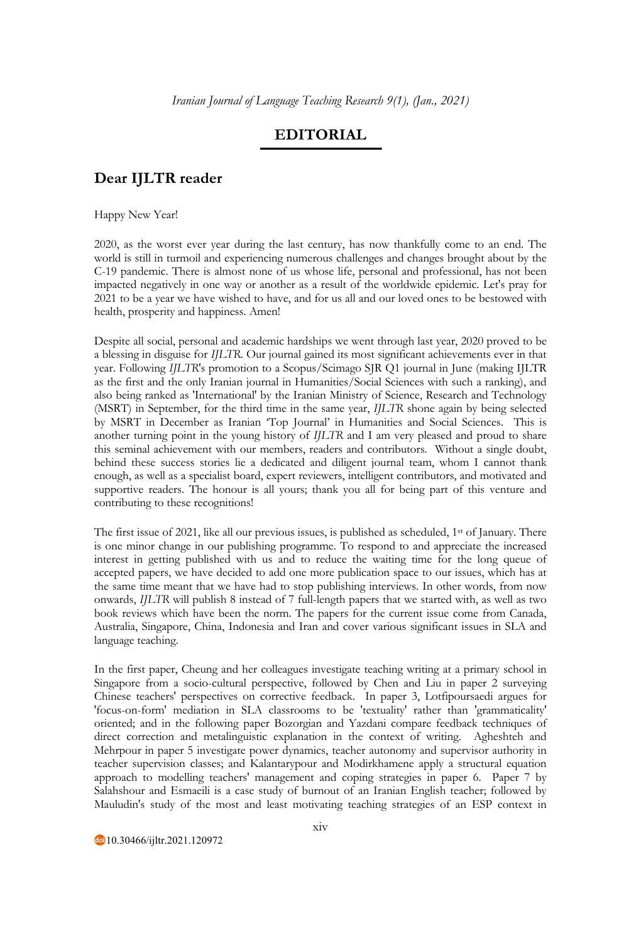## **EDITORIAL**

## **Dear IJLTR reader**

Happy New Year!

2020, as the worst ever year during the last century, has now thankfully come to an end. The world is still in turmoil and experiencing numerous challenges and changes brought about by the C-19 pandemic. There is almost none of us whose life, personal and professional, has not been impacted negatively in one way or another as a result of the worldwide epidemic. Let's pray for 2021 to be a year we have wished to have, and for us all and our loved ones to be bestowed with health, prosperity and happiness. Amen!

Despite all social, personal and academic hardships we went through last year, 2020 proved to be a blessing in disguise for *IJLTR*. Our journal gained its most significant achievements ever in that year. Following *IJLTR*'s promotion to a Scopus/Scimago SJR Q1 journal in June (making IJLTR as the first and the only Iranian journal in Humanities/Social Sciences with such a ranking), and also being ranked as 'International' by the Iranian Ministry of Science, Research and Technology (MSRT) in September, for the third time in the same year, *IJLTR* shone again by being selected by MSRT in December as Iranian 'Top Journal' in Humanities and Social Sciences. This is another turning point in the young history of *IJLTR* and I am very pleased and proud to share this seminal achievement with our members, readers and contributors. Without a single doubt, behind these success stories lie a dedicated and diligent journal team, whom I cannot thank enough, as well as a specialist board, expert reviewers, intelligent contributors, and motivated and supportive readers. The honour is all yours; thank you all for being part of this venture and contributing to these recognitions!

The first issue of 2021, like all our previous issues, is published as scheduled, 1<sup>st</sup> of January. There is one minor change in our publishing programme. To respond to and appreciate the increased interest in getting published with us and to reduce the waiting time for the long queue of accepted papers, we have decided to add one more publication space to our issues, which has at the same time meant that we have had to stop publishing interviews. In other words, from now onwards, *IJLTR* will publish 8 instead of 7 full-length papers that we started with, as well as two book reviews which have been the norm. The papers for the current issue come from Canada, Australia, Singapore, China, Indonesia and Iran and cover various significant issues in SLA and language teaching.

In the first paper, Cheung and her colleagues investigate teaching writing at a primary school in Singapore from a socio-cultural perspective, followed by Chen and Liu in paper 2 surveying Chinese teachers' perspectives on corrective feedback. In paper 3, Lotfipoursaedi argues for 'focus-on-form' mediation in SLA classrooms to be 'textuality' rather than 'grammaticality' oriented; and in the following paper Bozorgian and Yazdani compare feedback techniques of direct correction and metalinguistic explanation in the context of writing. Agheshteh and Mehrpour in paper 5 investigate power dynamics, teacher autonomy and supervisor authority in teacher supervision classes; and Kalantarypour and Modirkhamene apply a structural equation approach to modelling teachers' management and coping strategies in paper 6. Paper 7 by Salahshour and Esmaeili is a case study of burnout of an Iranian English teacher; followed by Mauludin's study of the most and least motivating teaching strategies of an ESP context in

10.30466/ijltr.2021.120972